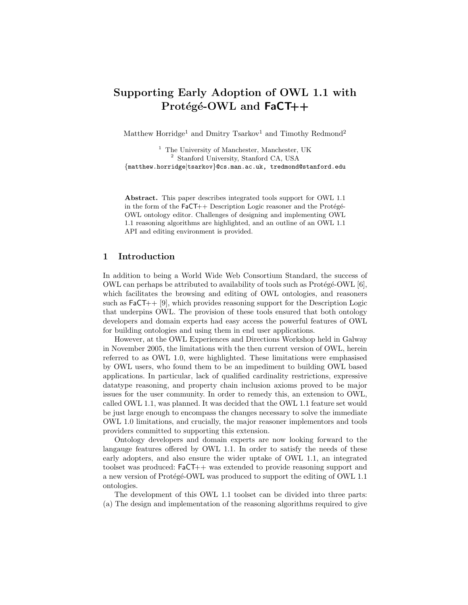# Supporting Early Adoption of OWL 1.1 with Protégé-OWL and  $FaCT++$

Matthew Horridge<sup>1</sup> and Dmitry Tsarkov<sup>1</sup> and Timothy Redmond<sup>2</sup>

<sup>1</sup> The University of Manchester, Manchester, UK <sup>2</sup> Stanford University, Stanford CA, USA {matthew.horridge|tsarkov}@cs.man.ac.uk, tredmond@stanford.edu

Abstract. This paper describes integrated tools support for OWL 1.1 in the form of the  $FaCT++$  Description Logic reasoner and the Protégé-OWL ontology editor. Challenges of designing and implementing OWL 1.1 reasoning algorithms are highlighted, and an outline of an OWL 1.1 API and editing environment is provided.

# 1 Introduction

In addition to being a World Wide Web Consortium Standard, the success of OWL can perhaps be attributed to availability of tools such as  $Prot\acute{e}g\acute{e}-OWL$  [6], which facilitates the browsing and editing of OWL ontologies, and reasoners such as  $FACT++$  [9], which provides reasoning support for the Description Logic that underpins OWL. The provision of these tools ensured that both ontology developers and domain experts had easy access the powerful features of OWL for building ontologies and using them in end user applications.

However, at the OWL Experiences and Directions Workshop held in Galway in November 2005, the limitations with the then current version of OWL, herein referred to as OWL 1.0, were highlighted. These limitations were emphasised by OWL users, who found them to be an impediment to building OWL based applications. In particular, lack of qualified cardinality restrictions, expressive datatype reasoning, and property chain inclusion axioms proved to be major issues for the user community. In order to remedy this, an extension to OWL, called OWL 1.1, was planned. It was decided that the OWL 1.1 feature set would be just large enough to encompass the changes necessary to solve the immediate OWL 1.0 limitations, and crucially, the major reasoner implementors and tools providers committed to supporting this extension.

Ontology developers and domain experts are now looking forward to the langauge features offered by OWL 1.1. In order to satisfy the needs of these early adopters, and also ensure the wider uptake of OWL 1.1, an integrated toolset was produced: FaCT++ was extended to provide reasoning support and a new version of Protégé-OWL was produced to support the editing of OWL 1.1 ontologies.

The development of this OWL 1.1 toolset can be divided into three parts: (a) The design and implementation of the reasoning algorithms required to give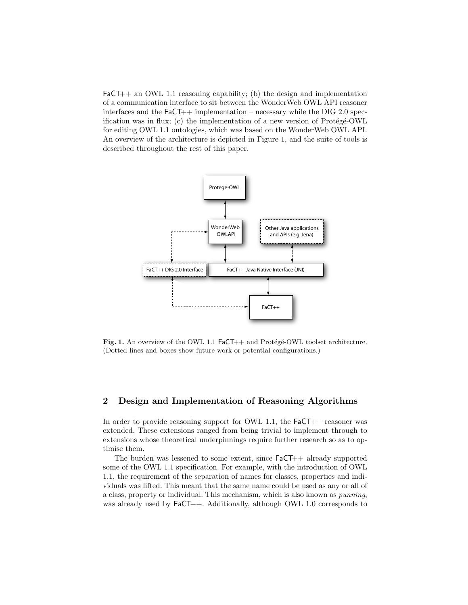$FACT++$  an OWL 1.1 reasoning capability; (b) the design and implementation of a communication interface to sit between the WonderWeb OWL API reasoner interfaces and the  $F_aCT++$  implementation – necessary while the DIG 2.0 specification was in flux; (c) the implementation of a new version of  $Prot\acute{e}g\acute{e}-OWL$ for editing OWL 1.1 ontologies, which was based on the WonderWeb OWL API. An overview of the architecture is depicted in Figure 1, and the suite of tools is described throughout the rest of this paper.



Fig. 1. An overview of the OWL 1.1 FaCT++ and Protégé-OWL toolset architecture. (Dotted lines and boxes show future work or potential configurations.)

## 2 Design and Implementation of Reasoning Algorithms

In order to provide reasoning support for OWL 1.1, the  $F_aCT++$  reasoner was extended. These extensions ranged from being trivial to implement through to extensions whose theoretical underpinnings require further research so as to optimise them.

The burden was lessened to some extent, since FaCT++ already supported some of the OWL 1.1 specification. For example, with the introduction of OWL 1.1, the requirement of the separation of names for classes, properties and individuals was lifted. This meant that the same name could be used as any or all of a class, property or individual. This mechanism, which is also known as punning, was already used by  $FaCT++$ . Additionally, although OWL 1.0 corresponds to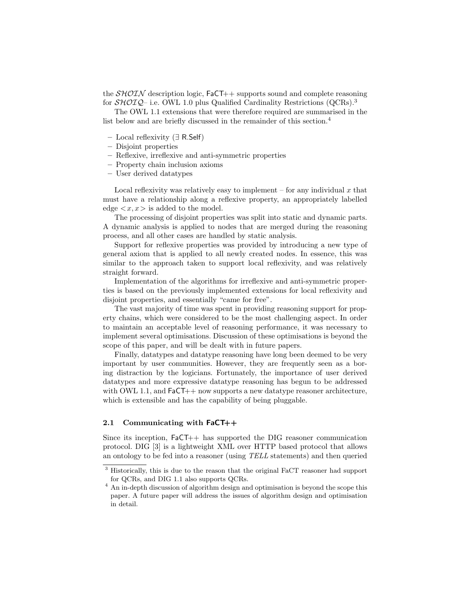the  $\mathcal{SHOIN}$  description logic, FaCT++ supports sound and complete reasoning for  $\mathcal{SHOLQ}$ – i.e. OWL 1.0 plus Qualified Cardinality Restrictions (QCRs).<sup>3</sup>

The OWL 1.1 extensions that were therefore required are summarised in the list below and are briefly discussed in the remainder of this section.<sup>4</sup>

- Local reflexivity (∃ R.Self)
- Disjoint properties
- Reflexive, irreflexive and anti-symmetric properties
- Property chain inclusion axioms
- User derived datatypes

Local reflexivity was relatively easy to implement – for any individual  $x$  that must have a relationship along a reflexive property, an appropriately labelled edge  $\langle x, x \rangle$  is added to the model.

The processing of disjoint properties was split into static and dynamic parts. A dynamic analysis is applied to nodes that are merged during the reasoning process, and all other cases are handled by static analysis.

Support for reflexive properties was provided by introducing a new type of general axiom that is applied to all newly created nodes. In essence, this was similar to the approach taken to support local reflexivity, and was relatively straight forward.

Implementation of the algorithms for irreflexive and anti-symmetric properties is based on the previously implemented extensions for local reflexivity and disjoint properties, and essentially "came for free".

The vast majority of time was spent in providing reasoning support for property chains, which were considered to be the most challenging aspect. In order to maintain an acceptable level of reasoning performance, it was necessary to implement several optimisations. Discussion of these optimisations is beyond the scope of this paper, and will be dealt with in future papers.

Finally, datatypes and datatype reasoning have long been deemed to be very important by user communities. However, they are frequently seen as a boring distraction by the logicians. Fortunately, the importance of user derived datatypes and more expressive datatype reasoning has begun to be addressed with OWL 1.1, and  $FaCT++$  now supports a new datatype reasoner architecture, which is extensible and has the capability of being pluggable.

#### 2.1 Communicating with FaCT++

Since its inception, FaCT++ has supported the DIG reasoner communication protocol. DIG [3] is a lightweight XML over HTTP based protocol that allows an ontology to be fed into a reasoner (using TELL statements) and then queried

<sup>&</sup>lt;sup>3</sup> Historically, this is due to the reason that the original FaCT reasoner had support for QCRs, and DIG 1.1 also supports QCRs.

<sup>4</sup> An in-depth discussion of algorithm design and optimisation is beyond the scope this paper. A future paper will address the issues of algorithm design and optimisation in detail.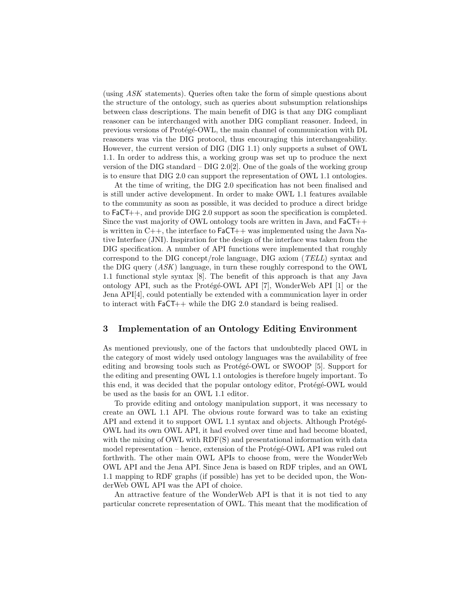(using ASK statements). Queries often take the form of simple questions about the structure of the ontology, such as queries about subsumption relationships between class descriptions. The main benefit of DIG is that any DIG compliant reasoner can be interchanged with another DIG compliant reasoner. Indeed, in previous versions of Protégé-OWL, the main channel of communication with DL reasoners was via the DIG protocol, thus encouraging this interchangeability. However, the current version of DIG (DIG 1.1) only supports a subset of OWL 1.1. In order to address this, a working group was set up to produce the next version of the DIG standard – DIG 2.0[2]. One of the goals of the working group is to ensure that DIG 2.0 can support the representation of OWL 1.1 ontologies.

At the time of writing, the DIG 2.0 specification has not been finalised and is still under active development. In order to make OWL 1.1 features available to the community as soon as possible, it was decided to produce a direct bridge to FaCT++, and provide DIG 2.0 support as soon the specification is completed. Since the vast majority of OWL ontology tools are written in Java, and FaCT++ is written in  $C++$ , the interface to  $FaCT++$  was implemented using the Java Native Interface (JNI). Inspiration for the design of the interface was taken from the DIG specification. A number of API functions were implemented that roughly correspond to the DIG concept/role language, DIG axiom (TELL) syntax and the DIG query (ASK) language, in turn these roughly correspond to the OWL 1.1 functional style syntax [8]. The benefit of this approach is that any Java ontology API, such as the Protégé-OWL API [7], WonderWeb API [1] or the Jena API[4], could potentially be extended with a communication layer in order to interact with FaCT++ while the DIG 2.0 standard is being realised.

#### 3 Implementation of an Ontology Editing Environment

As mentioned previously, one of the factors that undoubtedly placed OWL in the category of most widely used ontology languages was the availability of free editing and browsing tools such as Protege-OWL or SWOOP [5]. Support for the editing and presenting OWL 1.1 ontologies is therefore hugely important. To this end, it was decided that the popular ontology editor, Protégé-OWL would be used as the basis for an OWL 1.1 editor.

To provide editing and ontology manipulation support, it was necessary to create an OWL 1.1 API. The obvious route forward was to take an existing API and extend it to support OWL 1.1 syntax and objects. Although Protégé-OWL had its own OWL API, it had evolved over time and had become bloated, with the mixing of OWL with RDF(S) and presentational information with data model representation – hence, extension of the Protégé-OWL API was ruled out forthwith. The other main OWL APIs to choose from, were the WonderWeb OWL API and the Jena API. Since Jena is based on RDF triples, and an OWL 1.1 mapping to RDF graphs (if possible) has yet to be decided upon, the WonderWeb OWL API was the API of choice.

An attractive feature of the WonderWeb API is that it is not tied to any particular concrete representation of OWL. This meant that the modification of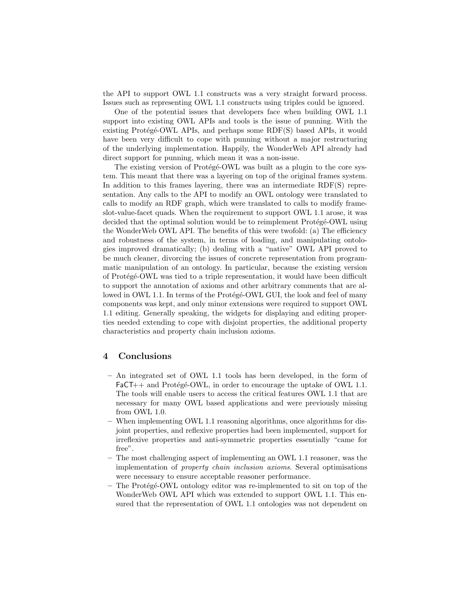the API to support OWL 1.1 constructs was a very straight forward process. Issues such as representing OWL 1.1 constructs using triples could be ignored.

One of the potential issues that developers face when building OWL 1.1 support into existing OWL APIs and tools is the issue of punning. With the existing Protégé-OWL APIs, and perhaps some  $RDF(S)$  based APIs, it would have been very difficult to cope with punning without a major restructuring of the underlying implementation. Happily, the WonderWeb API already had direct support for punning, which mean it was a non-issue.

The existing version of Protégé-OWL was built as a plugin to the core system. This meant that there was a layering on top of the original frames system. In addition to this frames layering, there was an intermediate RDF(S) representation. Any calls to the API to modify an OWL ontology were translated to calls to modify an RDF graph, which were translated to calls to modify frameslot-value-facet quads. When the requirement to support OWL 1.1 arose, it was decided that the optimal solution would be to reimplement Protégé-OWL using the WonderWeb OWL API. The benefits of this were twofold: (a) The efficiency and robustness of the system, in terms of loading, and manipulating ontologies improved dramatically; (b) dealing with a "native" OWL API proved to be much cleaner, divorcing the issues of concrete representation from programmatic manipulation of an ontology. In particular, because the existing version of Protégé-OWL was tied to a triple representation, it would have been difficult to support the annotation of axioms and other arbitrary comments that are allowed in OWL 1.1. In terms of the Protégé-OWL GUI, the look and feel of many components was kept, and only minor extensions were required to support OWL 1.1 editing. Generally speaking, the widgets for displaying and editing properties needed extending to cope with disjoint properties, the additional property characteristics and property chain inclusion axioms.

#### 4 Conclusions

- An integrated set of OWL 1.1 tools has been developed, in the form of  $FaCT++$  and Protégé-OWL, in order to encourage the uptake of OWL 1.1. The tools will enable users to access the critical features OWL 1.1 that are necessary for many OWL based applications and were previously missing from OWL 1.0.
- When implementing OWL 1.1 reasoning algorithms, once algorithms for disjoint properties, and reflexive properties had been implemented, support for irreflexive properties and anti-symmetric properties essentially "came for free".
- The most challenging aspect of implementing an OWL 1.1 reasoner, was the implementation of property chain inclusion axioms. Several optimisations were necessary to ensure acceptable reasoner performance.
- $-$  The Protégé-OWL ontology editor was re-implemented to sit on top of the WonderWeb OWL API which was extended to support OWL 1.1. This ensured that the representation of OWL 1.1 ontologies was not dependent on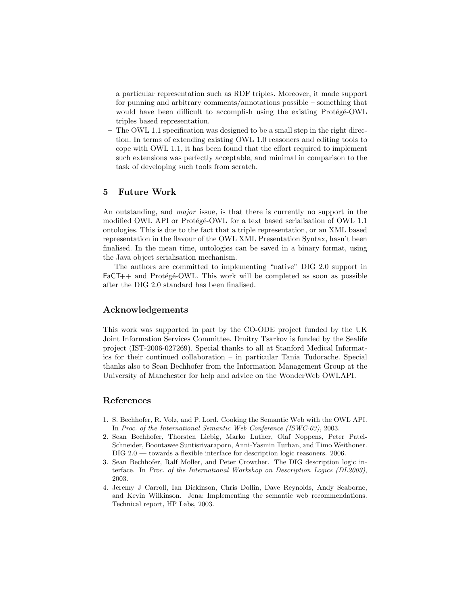a particular representation such as RDF triples. Moreover, it made support for punning and arbitrary comments/annotations possible – something that would have been difficult to accomplish using the existing Protégé-OWL triples based representation.

– The OWL 1.1 specification was designed to be a small step in the right direction. In terms of extending existing OWL 1.0 reasoners and editing tools to cope with OWL 1.1, it has been found that the effort required to implement such extensions was perfectly acceptable, and minimal in comparison to the task of developing such tools from scratch.

# 5 Future Work

An outstanding, and *major* issue, is that there is currently no support in the modified OWL API or Protégé-OWL for a text based serialisation of OWL 1.1 ontologies. This is due to the fact that a triple representation, or an XML based representation in the flavour of the OWL XML Presentation Syntax, hasn't been finalised. In the mean time, ontologies can be saved in a binary format, using the Java object serialisation mechanism.

The authors are committed to implementing "native" DIG 2.0 support in  $FaCT++$  and Protégé-OWL. This work will be completed as soon as possible after the DIG 2.0 standard has been finalised.

## Acknowledgements

This work was supported in part by the CO-ODE project funded by the UK Joint Information Services Committee. Dmitry Tsarkov is funded by the Sealife project (IST-2006-027269). Special thanks to all at Stanford Medical Informatics for their continued collaboration – in particular Tania Tudorache. Special thanks also to Sean Bechhofer from the Information Management Group at the University of Manchester for help and advice on the WonderWeb OWLAPI.

## References

- 1. S. Bechhofer, R. Volz, and P. Lord. Cooking the Semantic Web with the OWL API. In Proc. of the International Semantic Web Conference (ISWC-03), 2003.
- 2. Sean Bechhofer, Thorsten Liebig, Marko Luther, Olaf Noppens, Peter Patel-Schneider, Boontawee Suntisrivaraporn, Anni-Yasmin Turhan, and Timo Weithoner. DIG 2.0 — towards a flexible interface for description logic reasoners. 2006.
- 3. Sean Bechhofer, Ralf Moller, and Peter Crowther. The DIG description logic interface. In Proc. of the International Workshop on Description Logics (DL2003), 2003.
- 4. Jeremy J Carroll, Ian Dickinson, Chris Dollin, Dave Reynolds, Andy Seaborne, and Kevin Wilkinson. Jena: Implementing the semantic web recommendations. Technical report, HP Labs, 2003.